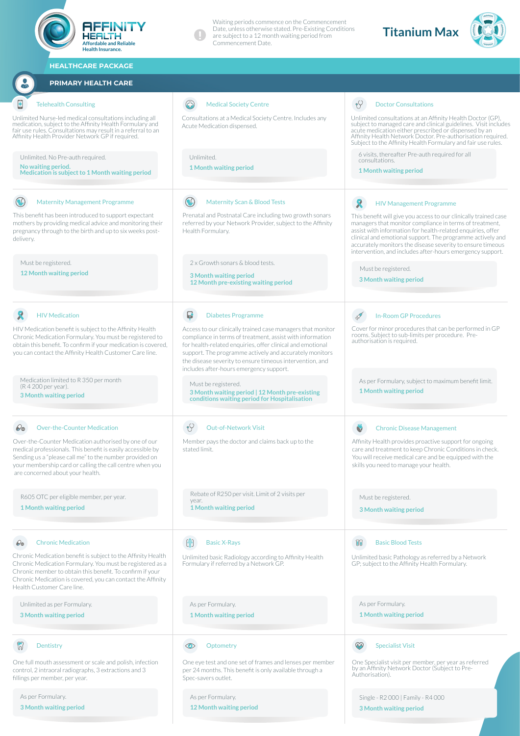| AFFINITY<br><b>HEALTH</b><br><b>Affordable and Reliable</b><br><b>Health Insurance.</b>                                                                                                                                                                                             | Waiting periods commence on the Commencement<br>Date, unless otherwise stated. Pre-Existing Conditions<br>are subject to a 12 month waiting period from<br>Commencement Date.                                                                                                                                                                            | <b>Titanium Max</b>                                                                                                                                                                                                                                                                                                                                                                 |
|-------------------------------------------------------------------------------------------------------------------------------------------------------------------------------------------------------------------------------------------------------------------------------------|----------------------------------------------------------------------------------------------------------------------------------------------------------------------------------------------------------------------------------------------------------------------------------------------------------------------------------------------------------|-------------------------------------------------------------------------------------------------------------------------------------------------------------------------------------------------------------------------------------------------------------------------------------------------------------------------------------------------------------------------------------|
| <b>HEALTHCARE PACKAGE</b>                                                                                                                                                                                                                                                           |                                                                                                                                                                                                                                                                                                                                                          |                                                                                                                                                                                                                                                                                                                                                                                     |
| <b>PRIMARY HEALTH CARE</b>                                                                                                                                                                                                                                                          |                                                                                                                                                                                                                                                                                                                                                          |                                                                                                                                                                                                                                                                                                                                                                                     |
| <b>Telehealth Consulting</b>                                                                                                                                                                                                                                                        | <b>Medical Society Centre</b>                                                                                                                                                                                                                                                                                                                            | $\gamma$<br><b>Doctor Consultations</b>                                                                                                                                                                                                                                                                                                                                             |
| Unlimited Nurse-led medical consultations including all<br>medication, subject to the Affinity Health Formulary and<br>fair use rules. Consultations may result in a referral to an<br>Affinity Health Provider Network GP if required.                                             | Consultations at a Medical Society Centre. Includes any<br>Acute Medication dispensed.                                                                                                                                                                                                                                                                   | Unlimited consultations at an Affinity Health Doctor (GP),<br>subject to managed care and clinical guidelines. Visit includes<br>acute medication either prescribed or dispensed by an<br>Affinity Health Network Doctor. Pre-authorisation required.<br>Subject to the Affinity Health Formulary and fair use rules.                                                               |
| Unlimited. No Pre-auth required.<br>No waiting period.<br>Medication is subject to 1 Month waiting period                                                                                                                                                                           | Unlimited.<br><b>1 Month waiting period</b>                                                                                                                                                                                                                                                                                                              | 6 visits, thereafter Pre-auth required for all<br>consultations.<br>1 Month waiting period                                                                                                                                                                                                                                                                                          |
| $\left( \begin{matrix} 1 \\ 2 \end{matrix} \right)$<br><b>Maternity Management Programme</b>                                                                                                                                                                                        | $\infty$<br><b>Maternity Scan &amp; Blood Tests</b>                                                                                                                                                                                                                                                                                                      | <b>HIV Management Programme</b>                                                                                                                                                                                                                                                                                                                                                     |
| This benefit has been introduced to support expectant<br>mothers by providing medical advice and monitoring their<br>pregnancy through to the birth and up to six weeks post-<br>delivery.                                                                                          | Prenatal and Postnatal Care including two growth sonars<br>referred by your Network Provider, subject to the Affinity<br>Health Formulary.                                                                                                                                                                                                               | This benefit will give you access to our clinically trained case<br>managers that monitor compliance in terms of treatment,<br>assist with information for health-related enquiries, offer<br>clinical and emotional support. The programme actively and<br>accurately monitors the disease severity to ensure timeous<br>intervention, and includes after-hours emergency support. |
| Must be registered.<br>12 Month waiting period                                                                                                                                                                                                                                      | 2 x Growth sonars & blood tests.<br>3 Month waiting period<br>12 Month pre-existing waiting period                                                                                                                                                                                                                                                       | Must be registered.<br>3 Month waiting period                                                                                                                                                                                                                                                                                                                                       |
| <b>HIV Medication</b>                                                                                                                                                                                                                                                               | Ы<br><b>Diabetes Programme</b>                                                                                                                                                                                                                                                                                                                           | <b>In-Room GP Procedures</b>                                                                                                                                                                                                                                                                                                                                                        |
| HIV Medication benefit is subject to the Affinity Health<br>Chronic Medication Formulary. You must be registered to<br>obtain this benefit. To confirm if your medication is covered,<br>you can contact the Affinity Health Customer Care line.                                    | Access to our clinically trained case managers that monitor<br>compliance in terms of treatment, assist with information<br>for health-related enquiries, offer clinical and emotional<br>support. The programme actively and accurately monitors<br>the disease severity to ensure timeous intervention, and<br>includes after-hours emergency support. | Cover for minor procedures that can be performed in GP<br>rooms. Subject to sub-limits per procedure. Pre-<br>authorisation is required.                                                                                                                                                                                                                                            |
| Medication limited to R 350 per month<br>(R 4 200 per year).<br><b>3 Month waiting period</b>                                                                                                                                                                                       | Must be registered.<br>3 Month waiting period   12 Month pre-existing<br>conditions waiting period for Hospitalisation                                                                                                                                                                                                                                   | As per Formulary, subject to maximum benefit limit.<br>1 Month waiting period                                                                                                                                                                                                                                                                                                       |
| <b>Over-the-Counter Medication</b><br>60                                                                                                                                                                                                                                            | $\gamma$<br><b>Out-of-Network Visit</b>                                                                                                                                                                                                                                                                                                                  | O<br><b>Chronic Disease Management</b>                                                                                                                                                                                                                                                                                                                                              |
| Over-the-Counter Medication authorised by one of our<br>medical professionals. This benefit is easily accessible by<br>Sending us a "please call me" to the number provided on<br>your membership card or calling the call centre when you<br>are concerned about your health.      | Member pays the doctor and claims back up to the<br>stated limit.                                                                                                                                                                                                                                                                                        | Affinity Health provides proactive support for ongoing<br>care and treatment to keep Chronic Conditions in check.<br>You will receive medical care and be equipped with the<br>skills you need to manage your health.                                                                                                                                                               |
| R605 OTC per eligible member, per year.<br>1 Month waiting period                                                                                                                                                                                                                   | Rebate of R250 per visit. Limit of 2 visits per<br>year.<br>1 Month waiting period                                                                                                                                                                                                                                                                       | Must be registered.<br>3 Month waiting period                                                                                                                                                                                                                                                                                                                                       |
| <b>Chronic Medication</b><br>$\mathcal{Q}_\Theta$                                                                                                                                                                                                                                   | 層<br><b>Basic X-Rays</b>                                                                                                                                                                                                                                                                                                                                 | 丽<br><b>Basic Blood Tests</b>                                                                                                                                                                                                                                                                                                                                                       |
| Chronic Medication benefit is subject to the Affinity Health<br>Chronic Medication Formulary. You must be registered as a<br>Chronic member to obtain this benefit. To confirm if your<br>Chronic Medication is covered, you can contact the Affinity<br>Health Customer Care line. | Unlimited basic Radiology according to Affinity Health<br>Formulary if referred by a Network GP.                                                                                                                                                                                                                                                         | Unlimited basic Pathology as referred by a Network<br>GP; subject to the Affinity Health Formulary.                                                                                                                                                                                                                                                                                 |
| Unlimited as per Formulary.<br>3 Month waiting period                                                                                                                                                                                                                               | As per Formulary.<br>1 Month waiting period                                                                                                                                                                                                                                                                                                              | As per Formulary.<br><b>1 Month waiting period</b>                                                                                                                                                                                                                                                                                                                                  |
| $\binom{1}{2}$<br>Dentistry                                                                                                                                                                                                                                                         | Optometry<br>⊙                                                                                                                                                                                                                                                                                                                                           | ∞<br><b>Specialist Visit</b>                                                                                                                                                                                                                                                                                                                                                        |
| One full mouth assessment or scale and polish, infection<br>control, 2 intraoral radiographs, 3 extractions and 3<br>fillings per member, per year.                                                                                                                                 | One eye test and one set of frames and lenses per member<br>per 24 months. This benefit is only available through a<br>Spec-savers outlet.                                                                                                                                                                                                               | One Specialist visit per member, per year as referred<br>by an Affinity Network Doctor (Subject to Pre-<br>Authorisation).                                                                                                                                                                                                                                                          |
| As per Formulary.<br>3 Month waiting period                                                                                                                                                                                                                                         | As per Formulary.<br>12 Month waiting period                                                                                                                                                                                                                                                                                                             | Single - R2 000   Family - R4 000<br>3 Month waiting period                                                                                                                                                                                                                                                                                                                         |